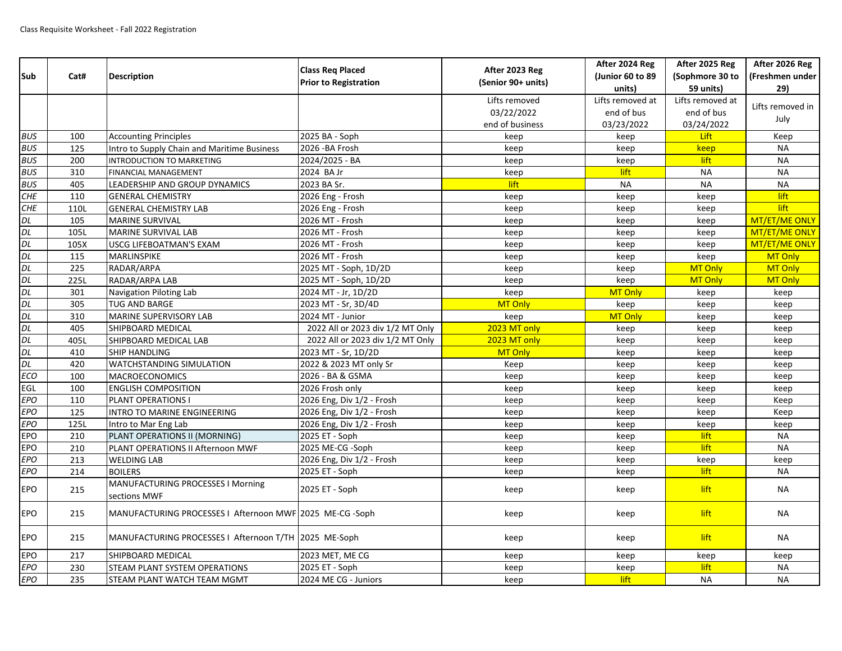| Sub                  | Cat# | <b>Description</b>                                      | <b>Class Req Placed</b><br><b>Prior to Registration</b> | After 2023 Reg<br>(Senior 90+ units) | After 2024 Reg<br>(Junior 60 to 89<br>units) | After 2025 Reg<br>(Sophmore 30 to<br>59 units) | After 2026 Reg<br>(Freshmen under<br>29) |
|----------------------|------|---------------------------------------------------------|---------------------------------------------------------|--------------------------------------|----------------------------------------------|------------------------------------------------|------------------------------------------|
|                      |      |                                                         |                                                         | Lifts removed<br>03/22/2022          | Lifts removed at<br>end of bus               | Lifts removed at<br>end of bus                 | Lifts removed in<br>July                 |
|                      |      |                                                         |                                                         | end of business                      | 03/23/2022                                   | 03/24/2022                                     |                                          |
| <b>BUS</b>           | 100  | <b>Accounting Principles</b>                            | 2025 BA - Soph                                          | keep                                 | keep                                         | <b>Lift</b>                                    | Keep                                     |
| <b>BUS</b>           | 125  | Intro to Supply Chain and Maritime Business             | 2026 - BA Frosh                                         | keep                                 | keep                                         | keep                                           | <b>NA</b>                                |
| <b>BUS</b>           | 200  | INTRODUCTION TO MARKETING                               | 2024/2025 - BA                                          | keep                                 | keep                                         | lift                                           | <b>NA</b>                                |
| <b>BUS</b>           | 310  | <b>FINANCIAL MANAGEMENT</b>                             | 2024 BA Jr                                              | keep                                 | lift                                         | <b>NA</b>                                      | <b>NA</b>                                |
| <b>BUS</b>           | 405  | LEADERSHIP AND GROUP DYNAMICS                           | 2023 BA Sr.                                             | lift                                 | <b>NA</b>                                    | <b>NA</b>                                      | <b>NA</b>                                |
| <b>CHE</b>           | 110  | <b>GENERAL CHEMISTRY</b>                                | 2026 Eng - Frosh                                        | keep                                 | keep                                         | keep                                           | lift                                     |
| CHE                  | 110L | <b>GENERAL CHEMISTRY LAB</b>                            | 2026 Eng - Frosh                                        | keep                                 | keep                                         | keep                                           | lift                                     |
| DL                   | 105  | MARINE SURVIVAL                                         | 2026 MT - Frosh                                         | keep                                 | keep                                         | keep                                           | MT/ET/ME ONLY                            |
| DL<br>DL<br>DL<br>DL | 105L | MARINE SURVIVAL LAB                                     | 2026 MT - Frosh                                         | keep                                 | keep                                         | keep                                           | MT/ET/ME ONLY                            |
|                      | 105X | USCG LIFEBOATMAN'S EXAM                                 | 2026 MT - Frosh                                         | keep                                 | keep                                         | keep                                           | MT/ET/ME ONLY                            |
|                      | 115  | MARLINSPIKE                                             | 2026 MT - Frosh                                         | keep                                 | keep                                         | keep                                           | MT Only                                  |
|                      | 225  | RADAR/ARPA                                              | 2025 MT - Soph, 1D/2D                                   | keep                                 | keep                                         | MT Only                                        | MT Only                                  |
| DL                   | 225L | RADAR/ARPA LAB                                          | 2025 MT - Soph, 1D/2D                                   | keep                                 | keep                                         | MT Only                                        | MT Only                                  |
| DL<br>DL<br>DL<br>DL | 301  | Navigation Piloting Lab                                 | 2024 MT - Jr, 1D/2D                                     | keep                                 | MT Only                                      | keep                                           | keep                                     |
|                      | 305  | <b>TUG AND BARGE</b>                                    | 2023 MT - Sr, 3D/4D                                     | <b>MT Only</b>                       | keep                                         | keep                                           | keep                                     |
|                      | 310  | MARINE SUPERVISORY LAB                                  | 2024 MT - Junior                                        | keep                                 | MT Only                                      | keep                                           | keep                                     |
| DL<br>DL<br>DL       | 405  | SHIPBOARD MEDICAL                                       | 2022 All or 2023 div 1/2 MT Only                        | 2023 MT only                         | keep                                         | keep                                           | keep                                     |
|                      | 405L | SHIPBOARD MEDICAL LAB                                   | 2022 All or 2023 div 1/2 MT Only                        | 2023 MT only                         | keep                                         | keep                                           | keep                                     |
|                      | 410  | SHIP HANDLING                                           | 2023 MT - Sr, 1D/2D                                     | MT Only                              | keep                                         | keep                                           | keep                                     |
| DL                   | 420  | WATCHSTANDING SIMULATION                                | 2022 & 2023 MT only Sr                                  | Keep                                 | keep                                         | keep                                           | keep                                     |
| <b>ECO</b>           | 100  | MACROECONOMICS                                          | 2026 - BA & GSMA                                        | keep                                 | keep                                         | keep                                           | keep                                     |
| EGL                  | 100  | <b>ENGLISH COMPOSITION</b>                              | 2026 Frosh only                                         | keep                                 | keep                                         | keep                                           | keep                                     |
| EPO                  | 110  | PLANT OPERATIONS I                                      | 2026 Eng, Div 1/2 - Frosh                               | keep                                 | keep                                         | keep                                           | Keep                                     |
| EPO                  | 125  | INTRO TO MARINE ENGINEERING                             | 2026 Eng, Div 1/2 - Frosh                               | keep                                 | keep                                         | keep                                           | Keep                                     |
| EPO                  | 125L | Intro to Mar Eng Lab                                    | 2026 Eng, Div 1/2 - Frosh                               | keep                                 | keep                                         | keep                                           | keep                                     |
| <b>EPO</b>           | 210  | PLANT OPERATIONS II (MORNING)                           | 2025 ET - Soph                                          | keep                                 | keep                                         | lift                                           | <b>NA</b>                                |
| <b>EPO</b>           | 210  | PLANT OPERATIONS II Afternoon MWF                       | 2025 ME-CG -Soph                                        | keep                                 | keep                                         | lift                                           | <b>NA</b>                                |
| EPO                  | 213  | <b>WELDING LAB</b>                                      | 2026 Eng, Div 1/2 - Frosh                               | keep                                 | keep                                         | keep                                           | keep                                     |
| EPO                  | 214  | <b>BOILERS</b>                                          | 2025 ET - Soph                                          | keep                                 | keep                                         | lift                                           | <b>NA</b>                                |
| <b>EPO</b>           | 215  | MANUFACTURING PROCESSES I Morning<br>sections MWF       | 2025 ET - Soph                                          | keep                                 | keep                                         | lift                                           | <b>NA</b>                                |
| <b>EPO</b>           | 215  | MANUFACTURING PROCESSES I Afternoon MWF 2025 ME-CG-Soph |                                                         | keep                                 | keep                                         | lift                                           | NA                                       |
| <b>EPO</b>           | 215  | MANUFACTURING PROCESSES   Afternoon T/TH 2025 ME-Soph   |                                                         | keep                                 | keep                                         | lift                                           | <b>NA</b>                                |
| <b>EPO</b>           | 217  | SHIPBOARD MEDICAL                                       | 2023 MET, ME CG                                         | keep                                 | keep                                         | keep                                           | keep                                     |
| <b>EPO</b>           | 230  | STEAM PLANT SYSTEM OPERATIONS                           | 2025 ET - Soph                                          | keep                                 | keep                                         | lift                                           | <b>NA</b>                                |
| EPO                  | 235  | STEAM PLANT WATCH TEAM MGMT                             | 2024 ME CG - Juniors                                    | keep                                 | lift                                         | <b>NA</b>                                      | <b>NA</b>                                |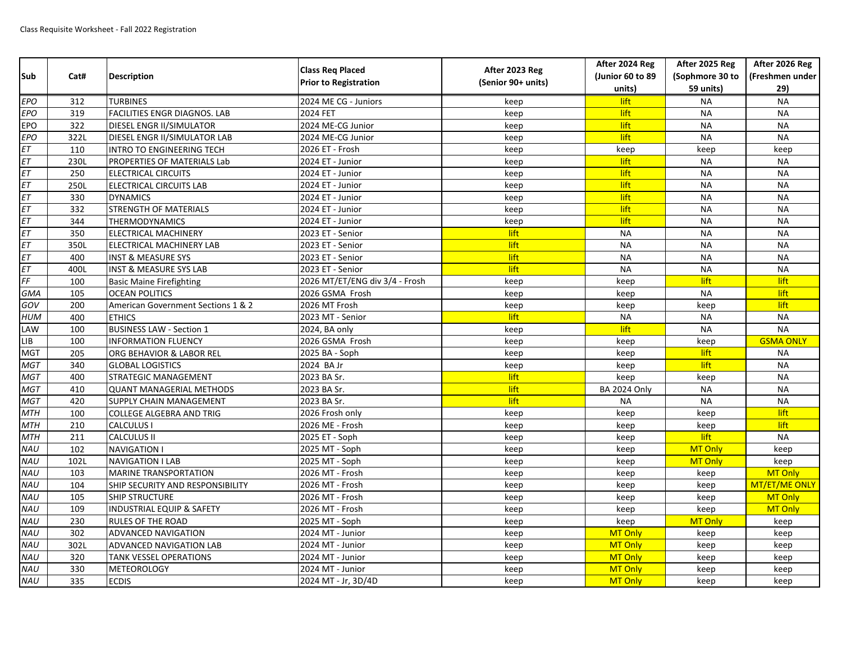| Sub        | Cat# | <b>Description</b>                      | <b>Class Req Placed</b><br><b>Prior to Registration</b> | After 2023 Reg<br>(Senior 90+ units) | After 2024 Reg      | After 2025 Reg  | After 2026 Reg   |
|------------|------|-----------------------------------------|---------------------------------------------------------|--------------------------------------|---------------------|-----------------|------------------|
|            |      |                                         |                                                         |                                      | (Junior 60 to 89    | (Sophmore 30 to | (Freshmen under  |
|            |      |                                         |                                                         |                                      | units)              | 59 units)       | 29)              |
| <b>EPO</b> | 312  | <b>TURBINES</b>                         | 2024 ME CG - Juniors                                    | keep                                 | lift                | <b>NA</b>       | <b>NA</b>        |
| <b>EPO</b> | 319  | <b>FACILITIES ENGR DIAGNOS. LAB</b>     | 2024 FET                                                | keep                                 | lift                | <b>NA</b>       | <b>NA</b>        |
| EPO        | 322  | <b>DIESEL ENGR II/SIMULATOR</b>         | 2024 ME-CG Junior                                       | keep                                 | lift                | <b>NA</b>       | <b>NA</b>        |
| <b>EPO</b> | 322L | DIESEL ENGR II/SIMULATOR LAB            | 2024 ME-CG Junior                                       | keep                                 | lift                | <b>NA</b>       | <b>NA</b>        |
| ET         | 110  | INTRO TO ENGINEERING TECH               | 2026 ET - Frosh                                         | keep                                 | keep                | keep            | keep             |
| ET         | 230L | <b>PROPERTIES OF MATERIALS Lab</b>      | 2024 ET - Junior                                        | keep                                 | lift                | <b>NA</b>       | <b>NA</b>        |
| <b>ET</b>  | 250  | <b>ELECTRICAL CIRCUITS</b>              | 2024 ET - Junior                                        | keep                                 | lift                | <b>NA</b>       | <b>NA</b>        |
| <b>ET</b>  | 250L | <b>ELECTRICAL CIRCUITS LAB</b>          | 2024 ET - Junior                                        | keep                                 | lift                | <b>NA</b>       | <b>NA</b>        |
| $E$ T      | 330  | <b>DYNAMICS</b>                         | 2024 ET - Junior                                        | keep                                 | lift                | <b>NA</b>       | <b>NA</b>        |
| ET         | 332  | <b>STRENGTH OF MATERIALS</b>            | 2024 ET - Junior                                        | keep                                 | lift                | <b>NA</b>       | <b>NA</b>        |
| <b>ET</b>  | 344  | <b>THERMODYNAMICS</b>                   | 2024 ET - Junior                                        | keep                                 | lift                | <b>NA</b>       | <b>NA</b>        |
| <b>ET</b>  | 350  | ELECTRICAL MACHINERY                    | 2023 ET - Senior                                        | lift                                 | <b>NA</b>           | <b>NA</b>       | <b>NA</b>        |
| ET         | 350L | ELECTRICAL MACHINERY LAB                | 2023 ET - Senior                                        | lift                                 | <b>NA</b>           | <b>NA</b>       | <b>NA</b>        |
| EΤ         | 400  | <b>INST &amp; MEASURE SYS</b>           | 2023 ET - Senior                                        | lift                                 | <b>NA</b>           | <b>NA</b>       | <b>NA</b>        |
| <b>ET</b>  | 400L | <b>INST &amp; MEASURE SYS LAB</b>       | 2023 ET - Senior                                        | lift                                 | <b>NA</b>           | <b>NA</b>       | <b>NA</b>        |
| FF         | 100  | <b>Basic Maine Firefighting</b>         | 2026 MT/ET/ENG div 3/4 - Frosh                          | keep                                 | keep                | lift            | lift             |
| GMA        | 105  | <b>OCEAN POLITICS</b>                   | 2026 GSMA Frosh                                         | keep                                 | keep                | <b>NA</b>       | lift             |
| GOV        | 200  | American Government Sections 1 & 2      | 2026 MT Frosh                                           | keep                                 | keep                | keep            | lift             |
| <b>HUM</b> | 400  | <b>ETHICS</b>                           | 2023 MT - Senior                                        | lift                                 | <b>NA</b>           | <b>NA</b>       | <b>NA</b>        |
| LAW        | 100  | <b>BUSINESS LAW - Section 1</b>         | 2024, BA only                                           | keep                                 | lift                | <b>NA</b>       | <b>NA</b>        |
| LIB        | 100  | <b>INFORMATION FLUENCY</b>              | 2026 GSMA Frosh                                         | keep                                 | keep                | keep            | <b>GSMA ONLY</b> |
| <b>MGT</b> | 205  | ORG BEHAVIOR & LABOR REL                | 2025 BA - Soph                                          | keep                                 | keep                | lift            | <b>NA</b>        |
| <b>MGT</b> | 340  | <b>GLOBAL LOGISTICS</b>                 | 2024 BA Jr                                              | keep                                 | keep                | lift            | <b>NA</b>        |
| <b>MGT</b> | 400  | <b>STRATEGIC MANAGEMENT</b>             | 2023 BA Sr.                                             | lift                                 | keep                | keep            | <b>NA</b>        |
| <b>MGT</b> | 410  | <b>QUANT MANAGERIAL METHODS</b>         | 2023 BA Sr.                                             | lift                                 | <b>BA 2024 Only</b> | <b>NA</b>       | <b>NA</b>        |
| <b>MGT</b> | 420  | <b>SUPPLY CHAIN MANAGEMENT</b>          | 2023 BA Sr.                                             | lift                                 | <b>NA</b>           | <b>NA</b>       | <b>NA</b>        |
| <b>MTH</b> | 100  | <b>COLLEGE ALGEBRA AND TRIG</b>         | 2026 Frosh only                                         | keep                                 | keep                | keep            | lift             |
| <b>MTH</b> | 210  | <b>CALCULUS I</b>                       | 2026 ME - Frosh                                         | keep                                 | keep                | keep            | lift             |
| <b>MTH</b> | 211  | <b>CALCULUS II</b>                      | 2025 ET - Soph                                          | keep                                 | keep                | lift            | <b>NA</b>        |
| NAU        | 102  | <b>NAVIGATION I</b>                     | 2025 MT - Soph                                          | keep                                 | keep                | MT Only         | keep             |
| <b>NAU</b> | 102L | <b>NAVIGATION I LAB</b>                 | 2025 MT - Soph                                          | keep                                 | keep                | MT Only         | keep             |
| <b>NAU</b> | 103  | <b>MARINE TRANSPORTATION</b>            | 2026 MT - Frosh                                         | keep                                 | keep                | keep            | MT Only          |
| NAU        | 104  | <b>SHIP SECURITY AND RESPONSIBILITY</b> | 2026 MT - Frosh                                         | keep                                 | keep                | keep            | MT/ET/ME ONLY    |
| <b>NAU</b> | 105  | <b>SHIP STRUCTURE</b>                   | 2026 MT - Frosh                                         | keep                                 | keep                | keep            | <b>MT Only</b>   |
| <b>NAU</b> | 109  | <b>INDUSTRIAL EQUIP &amp; SAFETY</b>    | 2026 MT - Frosh                                         | keep                                 | keep                | keep            | MT Only          |
| NAU        | 230  | <b>RULES OF THE ROAD</b>                | 2025 MT - Soph                                          | keep                                 | keep                | MT Only         | keep             |
| <b>NAU</b> | 302  | <b>ADVANCED NAVIGATION</b>              | 2024 MT - Junior                                        | keep                                 | MT Only             | keep            | keep             |
| <b>NAU</b> | 302L | ADVANCED NAVIGATION LAB                 | 2024 MT - Junior                                        | keep                                 | <b>MT Only</b>      | keep            | keep             |
| NAU        | 320  | <b>TANK VESSEL OPERATIONS</b>           | 2024 MT - Junior                                        | keep                                 | MT Only             | keep            | keep             |
| NAU        | 330  | <b>METEOROLOGY</b>                      | 2024 MT - Junior                                        | keep                                 | MT Only             | keep            | keep             |
| NAU        | 335  | <b>ECDIS</b>                            | 2024 MT - Jr, 3D/4D                                     | keep                                 | MT Only             | keep            | keep             |